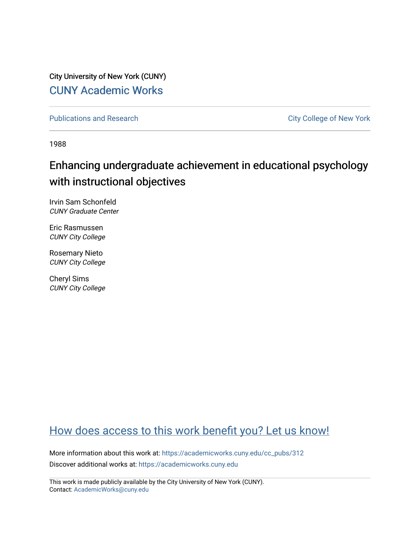City University of New York (CUNY) [CUNY Academic Works](https://academicworks.cuny.edu/) 

[Publications and Research](https://academicworks.cuny.edu/cc_pubs) **City College of New York** Publications and Research

1988

# Enhancing undergraduate achievement in educational psychology with instructional objectives

Irvin Sam Schonfeld CUNY Graduate Center

Eric Rasmussen CUNY City College

Rosemary Nieto CUNY City College

Cheryl Sims CUNY City College

## [How does access to this work benefit you? Let us know!](http://ols.cuny.edu/academicworks/?ref=https://academicworks.cuny.edu/cc_pubs/312)

More information about this work at: [https://academicworks.cuny.edu/cc\\_pubs/312](https://academicworks.cuny.edu/cc_pubs/312)  Discover additional works at: [https://academicworks.cuny.edu](https://academicworks.cuny.edu/?)

This work is made publicly available by the City University of New York (CUNY). Contact: [AcademicWorks@cuny.edu](mailto:AcademicWorks@cuny.edu)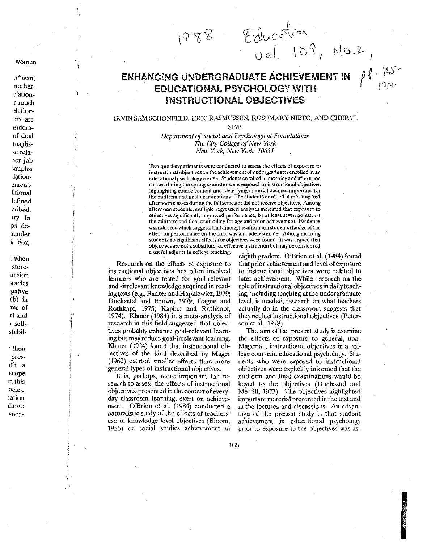## ENHANCING UNDERGRADUATE ACHIEVEMENT IN EDUCATIONAL PSYCHOLOGY WITH INSTRUCTIONAL OBJECTIVES

 $Fduc$  $ctlim$ 

 $\|0^{6}|$ .  $\|0^{6}$ ,  $\|0^{2}$ ,

f

R- *\L.S-*

 $17+$ 

#### IRVIN SAM SCHONFELD, ERIC RASMUSSEN, ROSEMARY NIETO, AND CHERYL

SIMS

*Department of Social and Psychological Foundations The City College of New York New York, New York 10031* 

**Two quasi-experiments were conducted to assess the effects of exposure** to **instructional** objectives on the achievement **of** undergraduates enrolled **in an educational psychology course. Students enrolled in moming and afternoon classes during the spring semester were exposed to instructional objectives highlighting course content and identifying material deemed important for**  the midterm and final examinations. The students enrolled in morning and **afternoon classes during the fall** semester did **not receive objectives. Among afternoon students, multiple regression analyses indicated that exposure to Objectives significantly improved performance, by at least seven points, <sup>011</sup> the midtenn and final controlling for age and prior achievement.. Evidence was adduced which suggests that among the afternoon students the size of the effect on performimce on the final was an underestimate. Among morning students no significant effects for objectives were found. It was argued that. Objectives are not a substitute for effective instruction but may be considered** 

**a useful adjunct in college teaching. .** 

 $1988$ 

Research on the effects of exposure to instructional objectives has often involved learners who are tested for goal-relevant and -irrelevant knowledge acquired in reading texts (e.g., Barker and Hapkiewicz, 1979; Duchastel and Brown, 1979; Gagne and Rothkopf, 1975; Kaplan and Rothkopf, 1974). Klauer (1984) in a meta-analysis of research in this field suggested that objectives probably enhance goal-relevant learning but may reduce goal-irrelevant learning. Klauer (1984) found. that instructional objectives of the kind described by Mager (1962) exerted smaller effects than more general types of instructional objectives.

**women** 

:) **"want**  nother- ~lationr much ,lation**ers are lsidera**of dual tus.dis**se rela**ler job :ouples <sup>1</sup>ation-~ments litional lefined **cribed,**  ary. In ps de- ~ender  $k$  Fox,

: when **stereansion**  ~tacles 'gative (b) in ms of rt and 1 selfstabil-

, their **pres**ith a scope **T, this**  ades, **lation**  lllows **voca-**

**It is, perhaps, more important for research to assess the effects of instructional objectives, presented in the context of everyday classroom learning, exert on achieve**ment. O'Brien et al. (1984) conducted a naturalistic study of the effects of teachers' use of knowledge level objectives (Bloom, 1956) on social studies achievement In

eighth graders. O'Brien et al. (1984) found that prior achievement and level of exposure **to instructional objectives were related to**  later achievement. While research on the role of instructional objectives in daily teaching, including teaching at the undergraduate **level, is needed, research on what teachers**  actually do in the classroom suggests that they neglect instructional objectives (Peterson et al., 1978).

The aim of the present study is examine the effects of exposure to general, non-**Magerian, instructional objectives in a col**lege course in educational psychology. Stu**dents who were. exposed to instructional**  objectives were explicitly informed that the midterm and final examinations would be keyed to the objectives (Duchastel and Merrill, 1973). The objectives highlighted **important material presented in the text and in the lectures and discussions. An advan**tage of the present study is that student **achievement in educational psychology prior to exposure to the objectives was as-**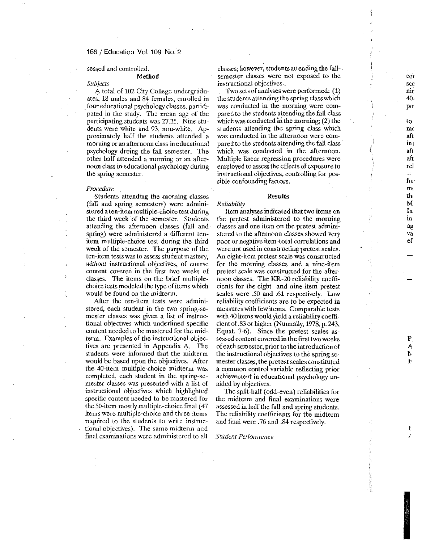## 166/ Education Vol. 109 No.2

#### sessed and controlled.

#### Method

#### *Subjects*

A total of 102 City College undergraduates, 18 males and 84 females, enrolled in four educational psychology classes, participated in the study. The mean age of the participating students was 27.35. Nine students were white and 93, non-white. Approximately half the students attended a **morning or an afternoon class in educational**  psychology during the fall semester. The other half attended a morning or an afternoon class in educational psychology during **the spring semester.** 

#### *Procedure*

Students attending the morning classes (fall and spring semesters) were admini**stered a ten-item mUltiple-choice test during**  the third week of the semester. Students attending the afternoon classes (fall and spring) were administered a different tenitem mUltiple-choice test during the third week of the semester. The purpose of the **ten-item tests was to assess student mastery,**  *without* **instructional objectives, of course**  content covered in the first two weeks of classes. The items on the brief multiplechoice tests modeled the type of items which would be found on the midterm.

**After the ten-item tests were administered, each student in the two spring-se**mester classes was given a list of instruc**tional objectives which underlined specific**  content needed to be mastered for the midterm. Examples of the instructional objectives are presented in Appendix A. The students were informed that the midterm would be based upon the objectives. After the 4O-item multiple-choice midterm was **completed, each student in the spring-semester classes was presented with a list of**  instructional objectives which highlighted specific content needed to be mastered for the 50-item mostly multiple-choice final (47 **items were multiple-choice and three items required to the students to write instructional objectives). The same midterm and final examinations were administered to all** 

classes; however, students attending the fall- . **semester classes were not exposed to the instructional objectives ..** 

COt scc nin 40· po:

to m<sub>c</sub> aft in t aft aft reI

1D ag va ef

 $=$  $f_{\Omega}$ mi th M In

> P A ]\. F

> I }

Two sets of analyses were performed: (1) the students attending the spring class which **was conducted in the· morning were com**pared to the students attending the fall class which was conducted in the morning; (2) the students attending the spring class which **was conducted in the afternoon were com**pared to the students attending the fall class which was conducted in the afternoon. **Multiple linear regression procedures were**  employed to assess the effects of exposure to **instructional objectives, controlling for pos**sible confounding factors.

#### Results

## *Reliability*

**Hem analyses indicated that two items on**  the pretest administered to the morning **classes and one item on the pretest admini**stered to the afternoon classes showed very **poor or negative item-total correlations and were not used in constructing pretest scales.**  An eight-item pretest scale was constructed **for the morning classes and a nine-item**  pretest scale was constructed for the afternoon classes. The KR-20 reliability coeffi**cients for the eight-and nine-item pretest**  scales were .50 and .61 respectively. Low reliability coefficients are to be expected in **measures with few items. Comparable tests**  with 40 items would yield a reliability coefficient of .83 or higher (Nunnally, 1978, p. 243, Equal. 7-6). Since the pretest scales as**sessed content covered in the first two weeks of each semester, prior to the introduction of**  the instructional objectives to the spring se**mester classes, the pretest scales constituted a co.mmon control variable reflecting prior achievement in educational psychology un**aided by objectives.

The split-half (odd-even) reliabilities for **the midterm and final examinations were**  assessed in half the fall and spring students. The reliability coefficients for the midterm and final were .76 and .84 respectively.

*Student Performance*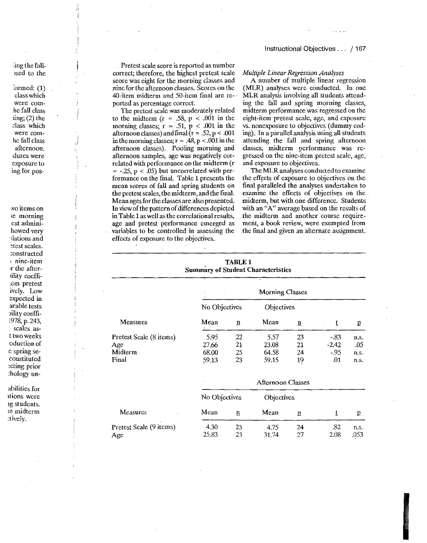ling the fall- )sed to the

'armed: (1) class which **were com**he fall class  $ring; (2)$  the 'lass which **were com**he fall class **afternoon.**  ~dures **were**  exposure to ing for pos-

NO items on **Ie morning est admini**howed very ~lations **and ;test scales. :onstructed <sup>l</sup>nine-item**  ,r the after- ,ility coeffi- **:em pretest**  ively. Low expected in arable tests 'ility coeffi-1978, p. 243, **scales as**t two weeks oductionof e spring se**constituted**  ecting prior :hology un-

abilities for **ltions were 19 students. le midterm**  :lively.

. **Pretest scale score is reported as number**  correct; therefore, the highest pretest scale score was eight for the morning classes and nine for the afternoon classes. Scores on the 40-item midterm and 50-item final are re**ported as percentage correct.** 

The pretest seale was moderately related to the midterm  $(r = .58, p < .001$  in the morning classes;  $r = .51$ ,  $p < .001$  in the afternoon classes) and final ( $r = .52$ ,  $p < .001$ in the morning classes;  $r = .48$ ,  $p < .001$  in the afternoon dasses). Pooling morning and **afternoon samples, age was negatively cor**related with performance on the midterm (r  $= -0.25$ ,  $p < 0.05$  but uncorrelated with performance on the final. Table 1 presents the mean scores of fall and spring students on the pretest scales, the midterm, and the final. Mean ages for the classes are also presented. In view of the pattern of differences depicted in Table 1 as well as the correlational results, age and pretest performance emerged as variables to be controlled in assessing the effects of exposure to the objectives.

Pretest Scale (9 items)

Age

#### *Multiple Linear Regression Analyses*

A number of multiple linear regression (MLR) analyses were conducted. In one MLR analysis involving all students attending the fall and spring morning classes, midterm performance was regressed on the **eight-item pretest scale, age, and exposure**  vs. nonexposure to objectives (dummy coding). In a parallel analysis using all students attending the fall and spring afternoon **classes, midterm performance was re**gressed on the nine-item pretest scale, age, and exposure to objectives.

TheMLR analyses conducted to examine the effects of exposure to objectives on the final paralleled the analyses undertaken to examine the effects of objectives on the midterm, but with one difference. Students with an  $A''$  average based on the results of **the midterm and another course requirement, a book review, were exempted from**  the final and given an alternate assignment.

> .82 **n.S.**  2.08 .053

|                         | Morning Classes |              |                          |                         |         |      |
|-------------------------|-----------------|--------------|--------------------------|-------------------------|---------|------|
|                         | No Objectives   |              | Objectives               |                         |         |      |
| <b>Measures</b>         | Mean            | n            | Mean                     | $\overline{\mathbf{n}}$ | ₫.      | p    |
| Pretest Scale (8 items) | 5.95            | 22           | 5.57                     | 23                      | $-83$   | n.s. |
| Age                     | 27.66           | 21           | 23.08                    | 21                      | $-2.42$ | .05  |
| Midterm                 | 68.00           | 25           | 64.58                    | 24                      | $-95$   | n.s. |
| Final                   | 59.13           | 23           | 59.15                    | 19                      | .01     | n.S. |
|                         |                 |              | <b>Afternoon Classes</b> |                         |         |      |
|                         | No Objectives   |              | Objectives               |                         |         |      |
| Measures                | Mean            | $\mathbf{n}$ | Mean                     | $\overline{\mathbf{n}}$ | t       | ₽    |

4.30 23 4.75 24 25.83 23 31.74 27

TABLEl Summary of Student Characteristics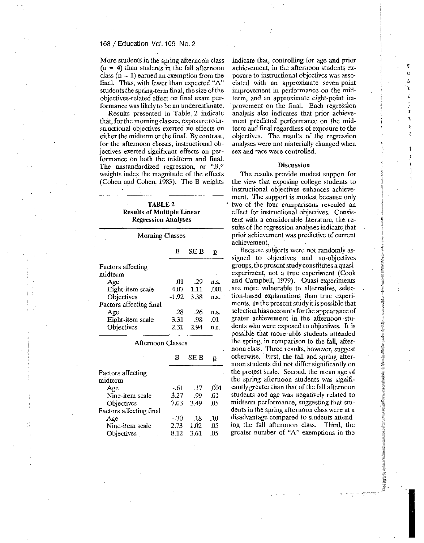### 168/ Education Vd.. 109 No.2

More students in the spring afternoon class  $(n = 4)$  than students in the fall afternoon class  $(n = 1)$  earned an exemption from the final. Thus, with fewer than expected "A" students the spring-term final, the size of the objectives-related effect on final exam performance was likely to be an underestimate.

Results presented in Table. 2 indicate that, for the morning classes, exposure to instructional objectives exerted no effects on either the midterm or the final. By contrast, for the afternoon classes, instructional objectives exerted significant effects on performance on both the midterm and final. The unstandardized regression, or "B," weights index the magnitude of the effects (Cohen and Cohen, 1983). The B weights

| TABLE <sub>2</sub><br><b>Results of Multiple Linear</b><br><b>Regression Analyses</b> |         |      |      |  |  |
|---------------------------------------------------------------------------------------|---------|------|------|--|--|
| <b>Morning Classes</b>                                                                |         |      |      |  |  |
|                                                                                       | в       | SE B | p    |  |  |
| Factors affecting<br>midterm                                                          |         |      |      |  |  |
| Age                                                                                   | .01     | .29  | n.s. |  |  |
| Eight-item scale                                                                      | 4.07    | 1.11 | .001 |  |  |
| Objectives                                                                            | $-1.92$ | 3.38 | n.s. |  |  |
| <b>Factors affecting final</b>                                                        |         |      |      |  |  |
| Age                                                                                   | .28     | .26  | n.s. |  |  |
| Eight-item scale                                                                      | 3.31    | .98  | .01  |  |  |
| Objectives                                                                            | 2.31    | 2.94 | n.s. |  |  |

| <b>Afternoon Classes</b>     |       |      |      |  |
|------------------------------|-------|------|------|--|
|                              | в     | SE B | ₽    |  |
| Factors affecting<br>midterm |       |      |      |  |
| Age                          | - 61  | .17  | .001 |  |
| Nine-item scale              | 3.27  | .99  | .01  |  |
| Objectives                   | 7.03  | 3.49 | -05  |  |
| Factors affecting final      |       |      |      |  |
| Age                          | -.30  | -18  | .10  |  |
| Nine-item scale              | 2.73  | 1.02 | .05  |  |
| Objectives                   | 8.12. | 3.61 | .05  |  |

indicate Ihat, controlling for age and prior achievement, in the afternoon students exposure to instructional objectives was associated with an approximate seven-point improvement in performance on the midterm, and an approximate eight-point improvement on the final. Each regression analysis also indicates that prior achievement predicted performance on the midterm and final regardless of exposure to the objectives. The results of the regression analyses were not materially changed when sex and race were controlled.

s a s c r t r \

#### Discussion

The results provide modest support for the view that exposing college students to instructional objectives enhances achievement. The support is modest because only two of the four comparisons revealed an effect for instructional objectives. Consistent with a considerable literature, the resuits of the regression analyses indicate that prior achievement was predictive of current achievement. .

Because subjects were not randomly assigned to objectives and no-objectives groups, the present study constitutes a qUasiexperiment, not a true experiment (Cook and Campbell, 1979). Quasi-experiments are more vulnerable to alternative, selection-based explanations than true experiments. In the present study it is possible that selection bias accounts for the appearance of grater achievement in the afternoon ·students who were exposed to objectives. It is possible that more able students attended the spring, in comparison to the fall, afternoon class. Three results, however, suggest otherwise. First, the fall and spring afternoon students did not differ significantly on the pretest scale. Second, the mean age of the spring afternoon students was significantly greater than that of the fall afternoon students and age was negatively related to midterm performance, suggesting that students in the spring afternoon class were at a disadvantage compared to students attending the fall afternoon class. Third, the greater number of "A" exemptions in the